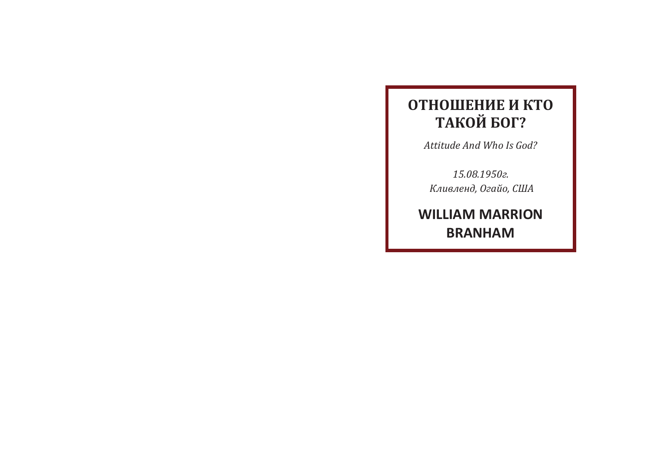# ОТНОШЕНИЕ И КТО ТАКОЙ БОГ?

Attitude And Who Is God?

15.08.1950г. Кливленд, Огайо, США

# **WILLIAM MARRION BRANHAM**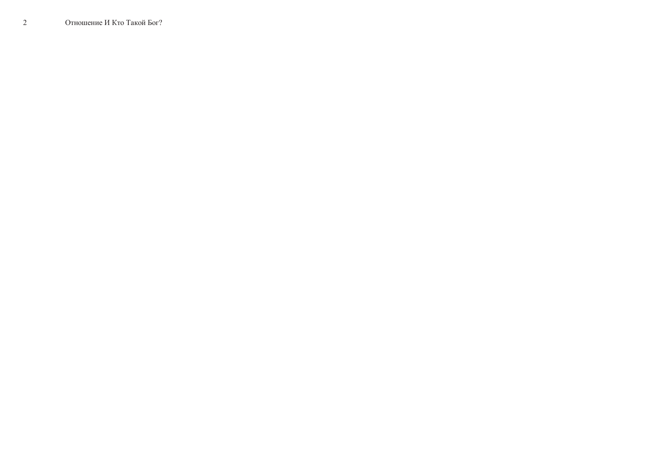Отношение И Кто Такой Бог?  $\overline{2}$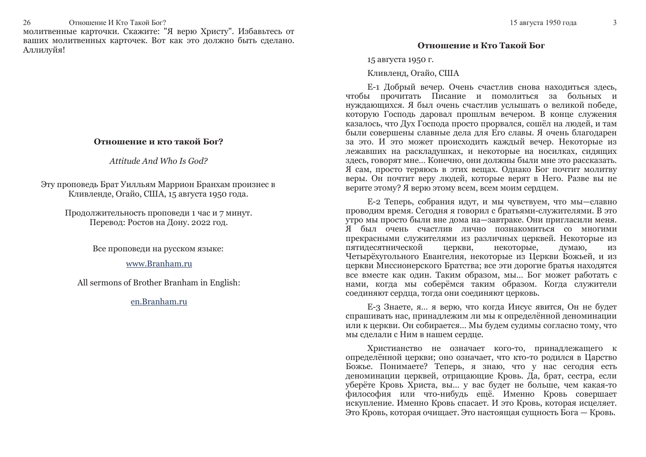молитвенные карточки. Скажите: "Я верю Христу". Избавьтесь от ваших молитвенных карточек. Вот как это должно быть сделано. Аллилуйя!

# Отношение и кто такой Бог?

Attitude And Who Is God?

Эту проповедь Брат Уилльям Маррион Бранхам произнес в Кливленде, Огайо, США, 15 августа 1950 года.

> Продолжительность проповеди 1 час и 7 минут. Перевод: Ростов на Дону. 2022 год.

> > Все проповеди на русском языке:

# www.Branham.ru

All sermons of Brother Branham in English:

en.Branham.ru

 $\mathcal{E}$ 

## Отношение и Кто Такой Бог

## 15 августа 1950 г.

# Кливленд, Огайо, США

Е-1 Добрый вечер. Очень счастлив снова находиться здесь, чтобы прочитать Писание и помолиться за больных и нуждающихся. Я был очень счастлив услышать о великой победе, которую Господь даровал прошлым вечером. В конце служения казалось, что Дух Господа просто прорвался, сошёл на людей, и там были совершены славные дела для Его славы. Я очень благодарен за это. И это может происходить каждый вечер. Некоторые из лежавших на расклалушках, и некоторые на носилках, силяших здесь, говорят мне... Конечно, они должны были мне это рассказать. Я сам, просто теряюсь в этих вещах. Однако Бог почтит молитву веры. Он почтит веру людей, которые верят в Него. Разве вы не верите этому? Я верю этому всем, всем моим сердцем.

Е-2 Теперь, собрания идут, и мы чувствуем, что мы-славно проводим время. Сегодня я говорил с братьями-служителями. В это утро мы просто были вне дома на-завтраке. Они пригласили меня. Я был очень счастлив лично познакомиться со многими прекрасными служителями из различных церквей. Некоторые из пятидесятнической церкви, некоторые, думаю, И3 Четырёхугольного Евангелия, некоторые из Церкви Божьей, и из церкви Миссионерского Братства; все эти дорогие братья находятся все вместе как один. Таким образом, мы... Бог может работать с нами, когда мы соберёмся таким образом. Когда служители соединяют сердца, тогда они соединяют церковь.

Е-3 Знаете, я... я верю, что когда Иисус явится, Он не будет спрашивать нас, принадлежим ли мы к определённой деноминации или к церкви. Он собирается... Мы будем судимы согласно тому, что мы сделали с Ним в нашем сердце.

Христианство не означает кого-то, принадлежащего к определённой церкви; оно означает, что кто-то родился в Царство Божье. Понимаете? Теперь, я знаю, что у нас сегодня есть деноминации церквей, отрицающие Кровь. Да, брат, сестра, если уберёте Кровь Христа, вы... у вас будет не больше, чем какая-то философия или что-нибудь ещё. Именно Кровь совершает искупление. Именно Кровь спасает. И это Кровь, которая исцеляет. Это Кровь, которая очищает. Это настоящая сущность Бога - Кровь.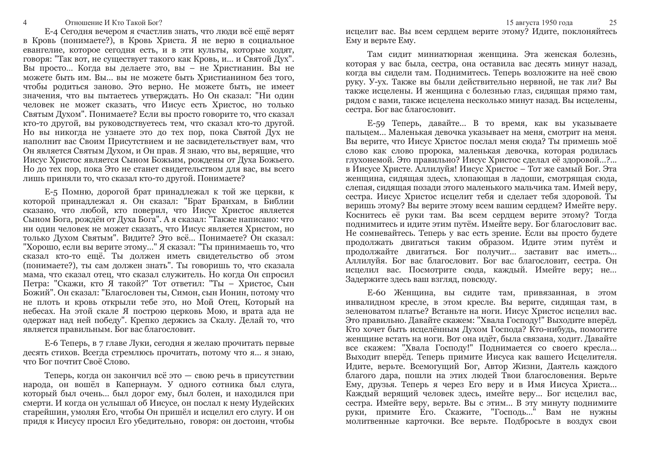Е-4 Сегодня вечером я счастлив знать, что люди всё ещё верят в Кровь (понимаете?), в Кровь Христа. Я не верю в социальное евангелие, которое сегодня есть, и в эти культы, которые ходят, говоря: "Так вот, не существует такого как Кровь, и... и Святой Дух". Вы просто... Когда вы делаете это, вы - не Христианин. Вы не можете быть им. Вы... вы не можете быть Христианином без того. чтобы родиться заново. Это верно. Не можете быть, не имеет значения, что вы пытаетесь утверждать. Но Он сказал: "Ни один человек не может сказать, что Иисус есть Христос, но только Святым Духом". Понимаете? Если вы просто говорите то, что сказал кто-то другой, вы руководствуетесь тем, что сказал кто-то другой. Но вы никогда не узнаете это до тех пор, пока Святой Дух не наполнит вас Своим Присутствием и не засвидетельствует вам, что Он является Святым Духом, и Он прав. Я знаю, что вы, верящие, что Иисус Христос является Сыном Божьим, рождены от Духа Божьего. Но до тех пор, пока Это не станет свидетельством для вас, вы всего лишь приняли то, что сказал кто-то другой. Понимаете?

Е-5 Помню, дорогой брат принадлежал к той же церкви, к которой принадлежал я. Он сказал: "Брат Бранхам, в Библии сказано, что любой, кто поверил, что Иисус Христос является Сыном Бога, рождён от Духа Бога". А я сказал: "Также написано: что ни один человек не может сказать, что Иисус является Христом, но только Духом Святым". Видите? Это всё... Понимаете? Он сказал: "Хорошо, если вы верите этому..." Я сказал: "Ты принимаешь то, что сказал кто-то ещё. Ты должен иметь свидетельство об этом (понимаете?), ты сам должен знать". Ты говоришь то, что сказала мама, что сказал отец, что сказал служитель. Но когда Он спросил Петра: "Скажи, кто Я такой?" Тот ответил: "Ты - Христос, Сын Божий". Он сказал: "Благословен ты, Симон, сын Ионин, потому что не плоть и кровь открыли тебе это, но Мой Отец, Который на небесах. На этой скале Я построю церковь Мою, и врата ада не одержат над ней победу". Крепко держись за Скалу. Делай то, что является правильным. Бог вас благословит.

Е-6 Теперь, в 7 главе Луки, сегодня я желаю прочитать первые десять стихов. Всегда стремлюсь прочитать, потому что я... я знаю, что Бог почтит Своё Слово.

Теперь, когда он закончил всё это - свою речь в присутствии народа, он вошёл в Капернаум. У одного сотника был слуга, который был очень... был дорог ему, был болен, и находился при смерти. И когда он услышал об Иисусе, он послал к нему Иудейских старейшин, умоляя Его, чтобы Он пришёл и исцелил его слугу. И он придя к Иисусу просил Его убедительно, говоря: он достоин, чтобы исцелит вас. Вы всем сердцем верите этому? Идите, поклоняйтесь Ему и верьте Ему.

15 августа 1950 года

Там сидит миниатюрная женщина. Эта женская болезнь, которая у вас была, сестра, она оставила вас десять минут назад, когда вы силели там. Полнимитесь. Теперь возложите на неё свою руку. У-ух. Также вы были действительно нервной, не так ли? Вы также исцелены. И женщина с болезнью глаз, сидящая прямо там, рядом с вами, также исцелена несколько минут назад. Вы исцелены, сестра. Бог вас благословит.

Е-59 Теперь, давайте... В то время, как вы указываете пальцем... Маленькая девочка указывает на меня, смотрит на меня. Вы верите, что Иисус Христос послал меня сюда? Ты примешь моё слово как слово пророка, маленькая девочка, которая родилась глухонемой. Это правильно? Иисус Христос сделал её здоровой...?... в Иисусе Христе. Аллилуйя! Иисус Христос - Тот же самый Бог. Эта женщина, сидящая здесь, хлопающая в ладоши, смотрящая сюда, слепая, сидящая позади этого маленького мальчика там. Имей веру, сестра. Иисус Христос исцелит тебя и сделает тебя здоровой. Ты веришь этому? Вы верите этому всем вашим сердцем? Имейте веру. Коснитесь её руки там. Вы всем сердцем верите этому? Тогда поднимитесь и идите этим путём. Имейте веру. Бог благословит вас. Не сомневайтесь. Теперь у вас есть зрение. Если вы просто будете продолжать двигаться таким образом. Идите этим путём и продолжайте двигаться. Бог получит... заставит вас иметь... Аллилуйя. Бог вас благословит. Бог вас благословит, сестра. Он исцелил вас. Посмотрите сюда, каждый. Имейте веру; не... Задержите здесь ваш взгляд, повсюду.

Е-60 Женщина, вы сидите там, привязанная, в этом инвалидном кресле, в этом кресле. Вы верите, сидящая там, в зеленоватом платье? Встаньте на ноги. Иисус Христос исцелил вас. Это правильно. Давайте скажем: "Хвала Господу!" Выходите вперёд. Кто хочет быть исцелённым Духом Господа? Кто-нибудь, помогите женщине встать на ноги. Вот она идёт, была связана, ходит. Давайте все скажем: "Хвала Господу!" Поднимается со своего кресла... Выходит вперёд. Теперь примите Иисуса как вашего Исцелителя. Идите, верьте. Всемогущий Бог, Автор Жизни, Даятель каждого благого дара, пошли на этих людей Твои благословения. Верьте Ему, друзья. Теперь я через Его веру и в Имя Иисуса Христа... Каждый верящий человек здесь, имейте веру... Бог исцелил вас, сестра. Имейте веру, верьте. Вы с этим... В эту минуту поднимите руки, примите Его. Скажите, "Господь..." Вам не нужны молитвенные карточки. Все верьте. Подбросьте в воздух свои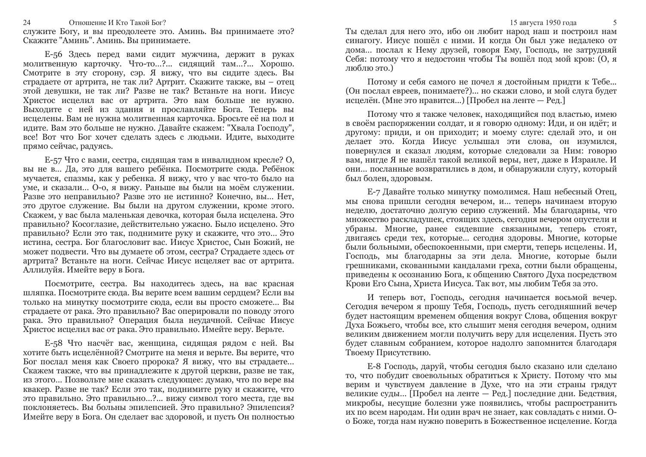служите Богу, и вы преодолеете это. Аминь. Вы принимаете это? Скажите "Аминь". Аминь. Вы принимаете.

Е-56 Здесь перед вами сидит мужчина, держит в руках молитвенную карточку. Что-то...?... сидящий там...?... Хорошо. Смотрите в эту сторону, сэр. Я вижу, что вы силите здесь. Вы страдаете от артрита, не так ли? Артрит. Скажите также, вы - отец этой девушки, не так ли? Разве не так? Встаньте на ноги. Иисус Христос исцелил вас от артрита. Это вам больше не нужно. Выходите с ней из здания и прославляйте Бога. Теперь вы исцелены. Вам не нужна молитвенная карточка. Бросьте её на пол и идите. Вам это больше не нужно. Давайте скажем: "Хвала Господу", все! Вот что Бог хочет сделать здесь с людьми. Идите, выходите прямо сейчас, радуясь.

Е-57 Что с вами, сестра, сидящая там в инвалидном кресле? О, вы не в... Да, это для вашего ребёнка. Посмотрите сюда. Ребёнок мучается, спазмы, как у ребенка. Я вижу, что у вас что-то было на уме, и сказали... О-о, я вижу. Раньше вы были на моём служении. Разве это неправильно? Разве это не истинно? Конечно, вы... Нет, это другое служение. Вы были на другом служении, кроме этого. Скажем, у вас была маленькая девочка, которая была исцелена. Это правильно? Косоглазие, действительно ужасно. Было исцелено. Это правильно? Если это так, поднимите руку и скажите, что это... Это истина, сестра. Бог благословит вас. Иисус Христос, Сын Божий, не может подвести. Что вы думаете об этом, сестра? Страдаете здесь от артрита? Встаньте на ноги. Сейчас Иисус исцеляет вас от артрита. Аллилуйя. Имейте веру в Бога.

Посмотрите, сестра. Вы находитесь здесь, на вас красная шляпка. Посмотрите сюда. Вы верите всем вашим сердцем? Если вы только на минутку посмотрите сюда, если вы просто сможете... Вы страдаете от рака. Это правильно? Вас оперировали по поводу этого рака. Это правильно? Операция была неудачной. Сейчас Иисус Христос исцелил вас от рака. Это правильно. Имейте веру. Верьте.

Е-58 Что насчёт вас, женщина, сидящая рядом с ней. Вы хотите быть исцелённой? Смотрите на меня и верьте. Вы верите, что Бог послал меня как Своего пророка? Я вижу, что вы страдаете... Скажем также, что вы принадлежите к другой церкви, разве не так, из этого... Позвольте мне сказать следующее: думаю, что по вере вы квакер. Разве не так? Если это так, поднимите руку и скажите, что это правильно. Это правильно...?... вижу символ того места, где вы поклоняетесь. Вы больны эпилепсией. Это правильно? Эпилепсия? Имейте веру в Бога. Он сделает вас здоровой, и пусть Он полностью

Ты сделал для него это, ибо он любит народ наш и построил нам синагогу. Иисус пошёл с ними. И когда Он был уже недалеко от дома... послал к Нему друзей, говоря Ему, Господь, не затрудняй Себя: потому что я недостоин чтобы Ты вошёл под мой кров: (О, я люблю это.)

Потому и себя самого не почел я достойным придти к Тебе... (Он послал евреев, понимаете?)... но скажи слово, и мой слуга будет исцелён. (Мне это нравится...) [Пробел на ленте - Ред.]

Потому что я также человек, находящийся под властью, имею в своём распоряжении солдат, и я говорю одному: Иди, и он идёт; и другому: приди, и он приходит; и моему слуге: сделай это, и он делает это. Когда Иисус услышал эти слова, он изумился, повернулся и сказал людям, которые следовали за Ним: говорю вам, нигде Я не нашёл такой великой веры, нет, даже в Израиле. И они... посланные возвратились в дом, и обнаружили слугу, который был болен, здоровым.

Е-7 Давайте только минутку помолимся. Наш небесный Отец, мы снова пришли сегодня вечером, и... теперь начинаем вторую неделю, достаточно долгую серию служений. Мы благодарны, что множество раскладушек, стоящих здесь, сегодня вечером опустели и убраны. Многие, ранее сидевшие связанными, теперь стоят, двигаясь среди тех, которые... сегодня здоровы. Многие, которые были больными, обеспокоенными, при смерти, теперь исцелены. И, Господь, мы благодарны за эти дела. Многие, которые были грешниками, скованными кандалами греха, сотни были обращены, приведены к осознанию Бога, к общению Святого Духа посредством Крови Его Сына, Христа Иисуса. Так вот, мы любим Тебя за это.

И теперь вот, Господь, сегодня начинается восьмой вечер. Сегодня вечером я прошу Тебя, Господь, пусть сегодняшний вечер будет настоящим временем общения вокруг Слова, общения вокруг Духа Божьего, чтобы все, кто слышит меня сегодня вечером, одним великим движением могли получить веру для исцеления. Пусть это будет славным собранием, которое надолго запомнится благодаря Твоему Присутствию.

Е-8 Господь, даруй, чтобы сегодня было сказано или сделано то, что побудит своевольных обратиться к Христу. Потому что мы верим и чувствуем давление в Духе, что на эти страны грядут великие суды... [Пробел на ленте – Ред.] последние дни. Бедствия, микробы, несущие болезни уже появились, чтобы распространить их по всем народам. Ни один врач не знает, как совладать с ними. Оо Боже, тогда нам нужно поверить в Божественное исцеление. Когда

15 августа 1950 года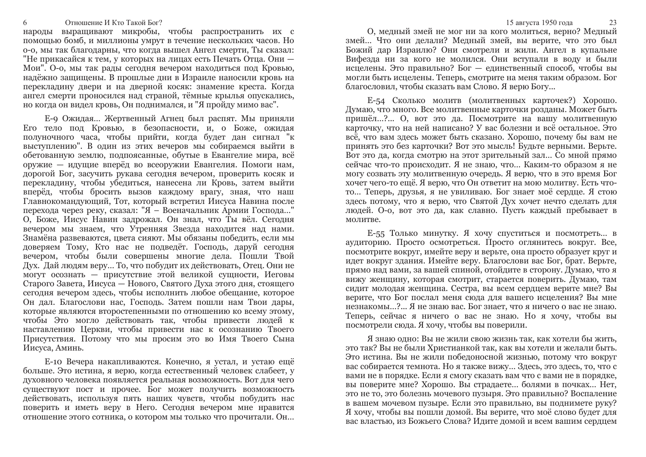6

народы выращивают микробы, чтобы распространить их с помощью бомб, и миллионы умрут в течение нескольких часов. Но о-о, мы так благодарны, что когда вышел Ангел смерти, Ты сказал: "Не прикасайся к тем, у которых на лицах есть Печать Отца. Они -Мои". О-о, мы так рады сегодня вечером находиться под Кровью, налёжно защищены. В прошлые дни в Израиле наносили кровь на перекладину двери и на дверной косяк: знамение креста. Когда ангел смерти проносился над страной, тёмные крылья опускались, но когда он видел кровь. Он поднимался, и "Я пройду мимо вас".

Е-9 Ожидая... Жертвенный Агнец был распят. Мы приняли Его тело под Кровью, в безопасности, и, о Боже, ожидая полуночного часа, чтобы прийти, когда будет дан сигнал "к выступлению". В один из этих вечеров мы собираемся выйти в обетованную землю, подпоясанные, обутые в Евангелие мира, всё оружие - идущие вперёд во всеоружии Евангелия. Помоги нам, дорогой Бог, засучить рукава сегодня вечером, проверить косяк и перекладину, чтобы убедиться, нанесена ли Кровь, затем выйти вперёд, чтобы бросить вызов каждому врагу, зная, что наш Главнокомандующий, Тот, который встретил Иисуса Навина после перехода через реку, сказал: "Я - Военачальник Армии Господа..." О. Боже, Иисус Навин задрожал. Он знал, что Ты вёл. Сегодня вечером мы знаем, что Утренняя Звезда находится над нами. Знамёна развеваются, цвета сияют. Мы обязаны победить, если мы доверяем Тому, Кто нас не подведёт. Господь, даруй сегодня вечером, чтобы были совершены многие дела. Пошли Твой Дух. Дай людям веру... То, что побудит их действовать, Отец. Они не могут осознать - присутствие этой великой сущности, Иеговы Старого Завета, Иисуса – Нового, Святого Духа этого дня, стоящего сегодня вечером здесь, чтобы исполнить любое обещание, которое Он дал. Благослови нас, Господь. Затем пошли нам Твои дары, которые являются второстепенными по отношению ко всему этому, чтобы Это могло действовать так, чтобы привести людей к наставлению Церкви, чтобы привести нас к осознанию Твоего Присутствия. Потому что мы просим это во Имя Твоего Сына Иисуса, Аминь.

Е-10 Вечера накапливаются. Конечно, я устал, и устаю ещё больше. Это истина, я верю, когда естественный человек слабеет, у духовного человека появляется реальная возможность. Вот для чего существуют пост и прочее. Бог может получить возможность действовать, используя пять наших чувств, чтобы побудить нас поверить и иметь веру в Него. Сегодня вечером мне нравится отношение этого сотника, о котором мы только что прочитали. Он...

 $23$ 

О, медный змей не мог ни за кого молиться, верно? Медный змей... Что они делали? Медный змей, вы верите, что это был Божий дар Израилю? Они смотрели и жили. Ангел в купальне Вифезда ни за кого не молился. Они вступали в воду и были исцелены. Это правильно? Бог - единственный способ, чтобы вы могли быть испелены. Теперь, смотрите на меня таким образом. Бог благословил, чтобы сказать вам Слово. Я верю Богу...

Е-54 Сколько молитв (молитвенных карточек?) Хорошо. Думаю, что много. Все молитвенные карточки розданы. Может быть пришёл...?... О, вот это да. Посмотрите на вашу молитвенную карточку, что на ней написано? У вас болезни и всё остальное. Это всё, что вам здесь может быть сказано. Хорошо, почему бы вам не принять это без карточки? Вот это мысль! Будьте верными. Верьте. Вот это да, когда смотрю на этот зрительный зал... Со мной прямо сейчас что-то происходит. Я не знаю, что... Каким-то образом я не могу созвать эту молитвенную очередь. Я верю, что в это время Бог хочет чего-то ещё. Я верю, что Он ответит на мою молитву. Есть чтото... Теперь, друзья, я не увиливаю. Бог знает моё сердце. Я стою здесь потому, что я верю, что Святой Дух хочет нечто сделать для людей. О-о, вот это да, как славно. Пусть каждый пребывает в молитве.

Е-55 Только минутку. Я хочу спуститься и посмотреть... в аудиторию. Просто осмотреться. Просто оглянитесь вокруг. Все, посмотрите вокруг, имейте веру и верьте, она просто образует круг и идет вокруг здания. Имейте веру. Благослови вас Бог, брат. Верьте, прямо над вами, за вашей спиной, отойдите в сторону. Думаю, что я вижу женщину, которая смотрит, старается поверить. Думаю, там сидит молодая женщина. Сестра, вы всем сердцем верите мне? Вы верите, что Бог послал меня сюда для вашего исцеления? Вы мне незнакомы...?... Я не знаю вас. Бог знает, что я ничего о вас не знаю. Теперь, сейчас я ничего о вас не знаю. Но я хочу, чтобы вы посмотрели сюда. Я хочу, чтобы вы поверили.

Я знаю одно: Вы не жили свою жизнь так, как хотели бы жить, это так? Вы не были Христианкой так, как вы хотели и желали быть. Это истина. Вы не жили победоносной жизнью, потому что вокруг вас собирается темнота. Но я также вижу... Здесь, это здесь, то, что с вами не в порядке. Если я смогу сказать вам что с вами не в порядке, вы поверите мне? Хорошо. Вы страдаете... болями в почках... Нет, это не то, это болезнь мочевого пузыря. Это правильно? Воспаление в вашем мочевом пузыре. Если это правильно, вы поднимете руку? Я хочу, чтобы вы пошли домой. Вы верите, что моё слово будет для вас властью, из Божьего Слова? Идите домой и всем вашим сердцем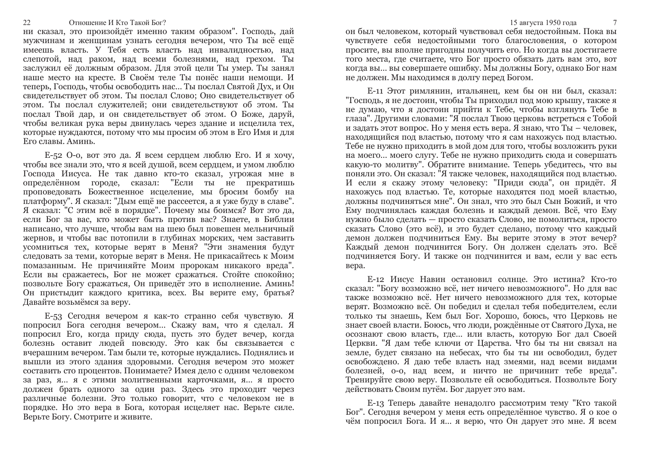ни сказал, это произойдёт именно таким образом". Господь, дай мужчинам и женщинам узнать сегодня вечером, что Ты всё ещё имеешь власть. У Тебя есть власть над инвалидностью, над слепотой, над раком, над всеми болезнями, над грехом. Ты заслужил её должным образом. Для этой цели Ты умер. Ты занял наше место на кресте. В Своём теле Ты понёс наши немоши. И теперь, Господь, чтобы освободить нас... Ты послал Святой Дух, и Он свидетельствует об этом. Ты послал Слово: Оно свидетельствует об этом. Ты послал служителей; они свидетельствуют об этом. Ты послал Твой дар, и он свидетельствует об этом. О Боже, даруй, чтобы великая рука веры двинулась через здание и исцелила тех, которые нуждаются, потому что мы просим об этом в Его Имя и для Его славы. Аминь.

Е-52 О-о, вот это да. Я всем сердцем люблю Его. И я хочу, чтобы все знали это, что я всей душой, всем сердцем, и умом люблю Господа Иисуса. Не так давно кто-то сказал, угрожая мне в определённом городе, сказал: "Если ты не прекратишь проповедовать Божественное исцеление, мы бросим бомбу на платформу". Я сказал: "Дым ещё не рассеется, а я уже буду в славе". Я сказал: "С этим всё в порядке". Почему мы боимся? Вот это да, если Бог за вас, кто может быть против вас? Знаете, в Библии написано, что лучше, чтобы вам на шею был повешен мельничный жернов, и чтобы вас потопили в глубинах морских, чем заставить усомниться тех, которые верят в Меня? "Эти знамения будут следовать за теми, которые верят в Меня. Не прикасайтесь к Моим помазанным. Не причиняйте Моим пророкам никакого вреда". Если вы сражаетесь, Бог не может сражаться. Стойте спокойно; позвольте Богу сражаться, Он приведёт это в исполнение. Аминь! Он пристыдит каждого критика, всех. Вы верите ему, братья? Давайте возьмёмся за веру.

Е-53 Сегодня вечером я как-то странно себя чувствую. Я попросил Бога сегодня вечером... Скажу вам, что я сделал. Я попросил Его, когда приду сюда, пусть это будет вечер, когда болезнь оставит людей повсюду. Это как бы связывается с вчерашним вечером. Там были те, которые нуждались. Поднялись и вышли из этого здания здоровыми. Сегодня вечером это может составить сто процентов. Понимаете? Имея дело с одним человеком за раз, я... я с этими молитвенными карточками, я... я просто должен брать одного за один раз. Здесь это проходит через различные болезни. Это только говорит, что с человеком не в порядке. Но это вера в Бога, которая исцеляет нас. Верьте силе. Верьте Богу. Смотрите и живите.

он был человеком, который чувствовал себя недостойным. Пока вы чувствуете себя недостойными того благословения, о котором просите, вы вполне пригодны получить его. Но когда вы достигаете того места, где считаете, что Бог просто обязать дать вам это, вот когда вы... вы совершаете ошибку. Мы должны Богу, однако Бог нам не должен. Мы находимся в долгу перед Богом.

Е-11 Этот римлянин, итальянец, кем бы он ни был, сказал: "Господь, я не достоин, чтобы Ты приходил под мою крышу, также я не думаю, что я достоин прийти к Тебе, чтобы взглянуть Тебе в глаза". Другими словами: "Я послал Твою церковь встреться с Тобой и задать этот вопрос. Но у меня есть вера. Я знаю, что Ты - человек, находящийся под властью, потому что я сам нахожусь под властью. Тебе не нужно приходить в мой дом для того, чтобы возложить руки на моего... моего слугу. Тебе не нужно приходить сюда и совершать какую-то молитву". Обратите внимание. Теперь убедитесь, что вы поняли это. Он сказал: "Я также человек, находящийся под властью. И если я скажу этому человеку: "Приди сюда", он придёт. Я нахожусь под властью. Те, которые находятся под моей властью, должны подчиняться мне". Он знал, что это был Сын Божий, и что Ему подчинялась каждая болезнь и каждый демон. Всё, что Ему нужно было сделать - просто сказать Слово, не помолиться, просто сказать Слово (это всё), и это будет сделано, потому что каждый демон должен подчиниться Ему. Вы верите этому в этот вечер? Каждый демон подчинится Богу. Он должен сделать это. Всё подчиняется Богу. И также он подчинится и вам, если у вас есть вера.

Е-12 Иисус Навин остановил солнце. Это истина? Кто-то сказал: "Богу возможно всё, нет ничего невозможного". Но для вас также возможно всё. Нет ничего невозможного для тех, которые верят. Возможно всё. Он победил и сделал тебя победителем, если только ты знаешь, Кем был Бог. Хорошо, боюсь, что Церковь не знает своей власти. Боюсь, что люди, рождённые от Святого Духа, не осознают свою власть, где... или власть, которую Бог дал Своей Церкви. "Я дам тебе ключи от Царства. Что бы ты ни связал на земле, будет связано на небесах, что бы ты ни освободил, будет освобождено. Я даю тебе власть над змеями, над всеми видами болезней, о-о, над всем, и ничто не причинит тебе вреда". Тренируйте свою веру. Позвольте ей освободиться. Позвольте Богу действовать Своим путём. Бог дарует это вам.

Е-13 Теперь давайте ненадолго рассмотрим тему "Кто такой Бог". Сегодня вечером у меня есть определённое чувство. Я о кое о чём попросил Бога. И я... я верю, что Он дарует это мне. Я всем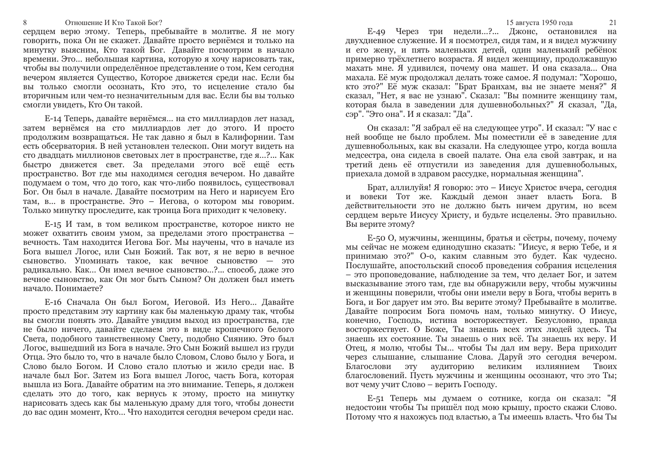сердцем верю этому. Теперь, пребывайте в молитве. Я не могу говорить, пока Он не скажет. Давайте просто вернёмся и только на минутку выясним, Кто такой Бог. Давайте посмотрим в начало времени. Это... небольшая картина, которую я хочу нарисовать так, чтобы вы получили определённое представление о том, Кем сегодня вечером является Сушество. Которое движется среди нас. Если бы вы только смогли осознать. Кто это, то исцеление стало бы вторичным или чем-то незначительным для вас. Если бы вы только смогли увидеть, Кто Он такой.

Е-14 Теперь, давайте вернёмся... на сто миллиардов лет назад, затем вернёмся на сто миллиардов лет до этого. И просто продолжим возвращаться. Не так давно я был в Калифорнии. Там есть обсерватория. В ней установлен телескоп. Они могут видеть на сто двадцать миллионов световых лет в пространстве, где я...?... Как быстро движется свет. За пределами этого всё ещё есть пространство. Вот где мы находимся сегодня вечером. Но давайте подумаем о том, что до того, как что-либо появилось, существовал Бог. Он был в начале. Давайте посмотрим на Него и нарисуем Его там, в... в пространстве. Это - Иегова, о котором мы говорим. Только минутку проследите, как троица Бога приходит к человеку.

Е-15 И там, в том великом пространстве, которое никто не может охватить своим умом, за пределами этого пространства вечность. Там находится Иегова Бог. Мы научены, что в начале из Бога вышел Логос, или Сын Божий. Так вот, я не верю в вечное сыновство. Упоминать такое, как вечное сыновство - это радикально. Как... Он имел вечное сыновство...?... способ, даже это вечное сыновство, как Он мог быть Сыном? Он должен был иметь начало. Понимаете?

Е-16 Сначала Он был Богом, Иеговой. Из Него... Давайте просто представим эту картину как бы маленькую драму так, чтобы вы смогли понять это. Давайте увидим выход из пространства, где не было ничего, давайте сделаем это в виде крошечного белого Света, подобного таинственному Свету, подобно Сиянию. Это был Логос, вышедший из Бога в начале. Это Сын Божий вышел из груди Отца. Это было то, что в начале было Словом, Слово было у Бога, и Слово было Богом. И Слово стало плотью и жило среди нас. В начале был Бог. Затем из Бога вышел Логос, часть Бога, которая вышла из Бога. Давайте обратим на это внимание. Теперь, я должен сделать это до того, как вернусь к этому, просто на минутку нарисовать здесь как бы маленькую драму для того, чтобы донести до вас один момент, Кто... Что находится сегодня вечером среди нас.

 $21$ 

Е-49 Через три недели...?... Джонс, остановился на двухдневное служение. И я посмотрел, сидя там, и я видел мужчину и его жену, и пять маленьких детей, один маленький ребёнок примерно трёхлетнего возраста. Я видел женщину, продолжавшую махать мне. Я удивился, почему она машет. И она сказала... Она махала. Её муж продолжал делать тоже самое. Я подумал: "Хорошо, кто это?" Её муж сказал: "Брат Бранхам, вы не знаете меня?" Я сказал, "Нет, я вас не узнаю". Сказал: "Вы помните женщину там, которая была в заведении для душевнобольных?" Я сказал, "Да, сэр". "Это она". И я сказал: "Да".

Он сказал: "Я забрал её на следующее утро". И сказал: "У нас с ней вообще не было проблем. Мы поместили её в заведение для душевнобольных, как вы сказали. На следующее утро, когда вошла медсестра, она сидела в своей палате. Она ела свой завтрак, и на третий день её отпустили из заведения для душевнобольных, приехала домой в здравом рассудке, нормальная женщина".

Брат, аллилуйя! Я говорю: это - Иисус Христос вчера, сегодня и вовеки Тот же. Каждый демон знает власть Бога. В действительности это не должно быть ничем другим, но всем сердцем верьте Иисусу Христу, и будьте исцелены. Это правильно. Вы верите этому?

Е-50 О, мужчины, женщины, братья и сёстры, почему, почему мы сейчас не можем единодушно сказать: "Иисус, я верю Тебе, и я принимаю это?" О-о, каким славным это будет. Как чудесно. Послушайте, апостольский способ проведения собрания исцеления - это проповедование, наблюдение за тем, что делает Бог, и затем высказывание этого там, где вы обнаружили веру, чтобы мужчины и женщины поверили, чтобы они имели веру в Бога, чтобы верить в Бога, и Бог дарует им это. Вы верите этому? Пребывайте в молитве. Давайте попросим Бога помочь нам, только минутку. О Иисус, конечно, Господь, истина восторжествует. Безусловно, правда восторжествует. О Боже, Ты знаешь всех этих людей здесь. Ты знаешь их состояние. Ты знаешь о них всё. Ты знаешь их веру. И Отец, я молю, чтобы Ты... чтобы Ты дал им веру. Вера приходит через слышание, слышание Слова. Даруй это сегодня вечером. Благослови эту аудиторию великим излиянием Твоих благословений. Пусть мужчины и женщины осознают, что это Ты; вот чему учит Слово - верить Господу.

Е-51 Теперь мы думаем о сотнике, когда он сказал: "Я недостоин чтобы Ты пришёл под мою крышу, просто скажи Слово. Потому что я нахожусь под властью, а Ты имеешь власть. Что бы Ты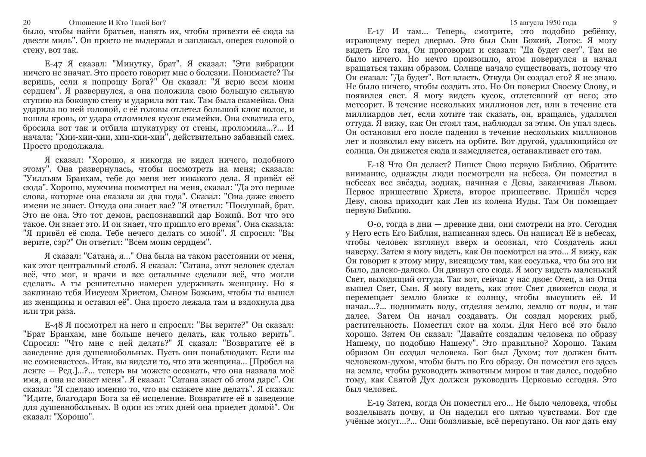было, чтобы найти братьев, нанять их, чтобы привезти её сюда за двести миль". Он просто не выдержал и заплакал, оперся головой о стену, вот так.

Е-47 Я сказал: "Минутку, брат", Я сказал: "Эти вибрации ничего не значат. Это просто говорит мне о болезни. Понимаете? Ты веришь, если я попрошу Бога?" Он сказал: "Я верю всем моим сердцем". Я развернулся, а она положила свою большую сильную ступню на боковую стену и ударила вот так. Там была скамейка. Она ударила по ней головой, с её головы отлетел большой клок волос, и пошла кровь, от удара отломился кусок скамейки. Она схватила его, бросила вот так и отбила штукатурку от стены, проломила...?... И начала: "Хии-хии-хии, хии-хии-хии", действительно забавный смех. Просто продолжала.

Я сказал: "Хорошо, я никогда не видел ничего, подобного этому". Она развернулась, чтобы посмотреть на меня; сказала: "Уилльям Бранхам, тебе до меня нет никакого дела. Я привёл её сюда". Хорошо, мужчина посмотрел на меня, сказал: "Да это первые слова, которые она сказала за два года". Сказал: "Она даже своего имени не знает. Откуда она знает вас? "Я ответил: "Послушай, брат. Это не она. Это тот демон, распознавший дар Божий. Вот что это такое. Он знает это. И он знает, что пришло его время". Она сказала: "Я привёл её сюда. Тебе нечего делать со мной". Я спросил: "Вы верите, сэр?" Он ответил: "Всем моим сердцем".

Я сказал: "Сатана, я..." Она была на таком расстоянии от меня, как этот центральный столб. Я сказал: "Сатана, этот человек сделал всё, что мог, и врачи и все остальные сделали всё, что могли сделать. А ты решительно намерен удерживать женщину. Но я заклинаю тебя Иисусом Христом, Сыном Божьим, чтобы ты вышел из женщины и оставил её". Она просто лежала там и вздохнула два или три раза.

Е-48 Я посмотрел на него и спросил: "Вы верите?" Он сказал: "Брат Бранхам, мне больше нечего делать, как только верить". Спросил: "Что мне с ней делать?" Я сказал: "Возвратите её в заведение для душевнобольных. Пусть они понаблюдают. Если вы не сомневаетесь. Итак, вы видели то, что эта женщина... [Пробел на ленте - Ред. ]...?... теперь вы можете осознать, что она назвала моё имя, а она не знает меня". Я сказал: "Сатана знает об этом даре". Он сказал: "Я сделаю именно то, что вы скажете мне делать". Я сказал: "Идите, благодаря Бога за её исцеление. Возвратите её в заведение для душевнобольных. В один из этих дней она приедет домой". Он сказал: "Хорошо".

Е-17 И там... Теперь, смотрите, это подобно ребёнку, играющему перед дверью. Это был Сын Божий, Логос. Я могу видеть Его там, Он проговорил и сказал: "Да будет свет". Там не было ничего. Но нечто произошло, атом повернулся и начал вращаться таким образом. Солнце начало существовать, потому что Он сказал: "Да будет". Вот власть. Откуда Он создал его? Я не знаю. Не было ничего, чтобы создать это. Но Он поверил Своему Слову, и появился свет. Я могу видеть кусок, отлетевший от него; это метеорит. В течение нескольких миллионов лет, или в течение ста миллиардов лет, если хотите так сказать, он, вращаясь, удалялся оттуда. Я вижу, как Он стоял там, наблюдал за этим. Он упал здесь. Он остановил его после падения в течение нескольких миллионов лет и позволил ему висеть на орбите. Вот другой, удаляющийся от солнца. Он движется сюда и замедляется, останавливает его там.

Е-18 Что Он делает? Пишет Свою первую Библию. Обратите внимание, однажды люди посмотрели на небеса. Он поместил в небесах все звёзды, зодиак, начиная с Девы, заканчивая Львом. Первое пришествие Христа, второе пришествие. Пришёл через Деву, снова приходит как Лев из колена Иуды. Там Он помещает первую Библию.

О-о, тогда в дни — древние дни, они смотрели на это. Сегодня у Него есть Его Библия, написанная здесь. Он написал Её в небесах, чтобы человек взглянул вверх и осознал, что Создатель жил наверху. Затем я могу видеть, как Он посмотрел на это... Я вижу, как Он говорит к этому миру, висящему там, как сосулька, что бы это ни было, далеко-далеко. Он двинул его сюда. Я могу видеть маленький Свет, выходящий оттуда. Так вот, сейчас у нас двое: Отец, а из Отца вышел Свет, Сын. Я могу видеть, как этот Свет движется сюда и перемещает землю ближе к солнцу, чтобы высушить её. И начал...?... поднимать воду, отделяя землю, землю от воды, и так далее. Затем Он начал создавать. Он создал морских рыб, растительность. Поместил скот на холм. Для Него всё это было хорошо. Затем Он сказал: "Давайте создадим человека по образу Нашему, по подобию Нашему". Это правильно? Хорошо. Таким образом Он создал человека. Бог был Духом; тот должен быть человеком-духом, чтобы быть по Его образу. Он поместил его здесь на земле, чтобы руководить животным миром и так далее, подобно тому, как Святой Дух должен руководить Церковью сегодня. Это был человек.

Е-19 Затем, когда Он поместил его... Не было человека, чтобы возделывать почву, и Он наделил его пятью чувствами. Вот где учёные могут...?... Они боязливые, всё перепутано. Он мог дать ему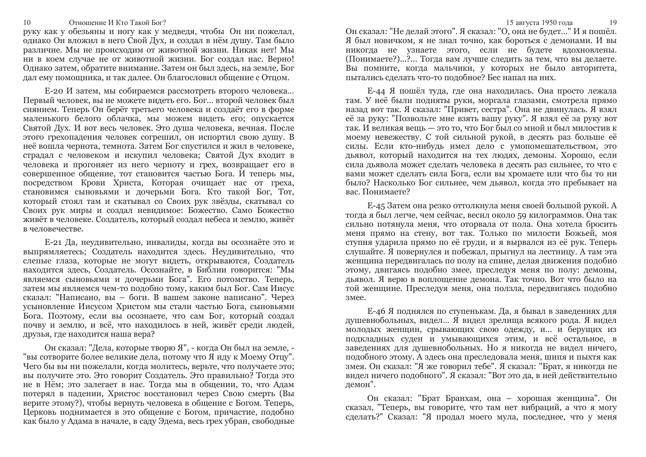### $10<sup>1</sup>$ Отношение И Кто Такой Бог?

руку как у обезьяны и ногу как у медведя, чтобы Он ни пожелал, однако Он вложил в него Свой Дух, и создал в нём душу. Там было различие. Мы не происходим от животной жизни. Никак нет! Мы ни в коем случае не от животной жизни. Бог создал нас. Верно! Однако затем, обратите внимание. Затем он был здесь, на земле, Бог дал ему помошника, и так далее. Он благословил общение с Отцом.

Е-20 И затем, мы собираемся рассмотреть второго человека... Первый человек, вы не можете видеть его. Бог... второй человек был сиянием. Теперь Он берёт третьего человека и создаёт его в форме маленького белого облачка, мы можем видеть его; опускается Святой Дух. И вот весь человек. Это душа человека, вечная. После этого грехопадения человек согрешил, он испортил свою душу. В неё вошла чернота, темнота. Затем Бог спустился и жил в человеке, страдал с человеком и искупил человека; Святой Дух входит в человека и прогоняет из него черноту и грех, возвращает его в совершенное общение, тот становится частью Бога. И теперь мы, посредством Крови Христа, Которая очищает нас от греха, становимся сыновьями и дочерьми Бога. Кто такой Бог. Тот. который стоял там и скатывал со Своих рук звёзды, скатывал со Своих рук миры и создал невидимое: Божество. Само Божество живёт в человеке. Создатель, который создал небеса и землю, живёт в человечестве.

Е-21 Да, неудивительно, инвалиды, когда вы осознаёте это и выпрямляетесь; Создатель находится здесь. Неудивительно, что слепые глаза, которые не могут видеть, открываются, Создатель находится здесь, Создатель. Осознайте, в Библии говорится: "Мы являемся сыновьями и дочерьми Бога". Его потомство. Теперь, затем мы являемся чем-то подобно тому, каким был Бог. Сам Иисус сказал: "Написано, вы - боги. В вашем законе написано". Через усыновление Иисусом Христом мы стали частью Бога, сыновьями Бога. Поэтому, если вы осознаете, что сам Бог, который создал почву и землю, и всё, что находилось в ней, живёт среди людей, друзья, где находится наша вера?

Он сказал: "Дела, которые творю Я", - когда Он был на земле, -"вы сотворите более великие дела, потому что Я иду к Моему Отцу". Чего бы вы ни пожелали, когда молитесь, верьте, что получаете это; вы получите это. Это говорит Создатель. Это правильно? Тогда это не в Нём; это залегает в нас. Тогда мы в общении, то, что Адам потерял в падении, Христос восстановил через Свою смерть (Вы верите этому?), чтобы вернуть человека в общение с Богом. Теперь, Церковь поднимается в это общение с Богом, причастие, подобно как было у Адама в начале, в саду Эдема, весь грех убран, свободные

Е-44 Я пошёл туда, где она находилась. Она просто лежала там. У неё были подняты руки, моргала глазами, смотрела прямо назад вот так. Я сказал: "Привет, сестра". Она не двинулась. Я взял её за руку: "Позвольте мне взять вашу руку". Я взял её за руку вот так. И великая вещь - это то, что Бог был со мной и был милостив к моему невежеству. С той сильной рукой, в десять раз больше её силы. Если кто-нибудь имел дело с умопомешательством, это дьявол, который находится на тех людях, демоны. Хорошо, если сила дьявола может сделать человека в десять раз сильнее, то что с вами может сделать сила Бога, если вы хромаете или что бы то ни было? Насколько Бог сильнее, чем дьявол, когда это пребывает на вас. Понимаете?

Е-45 Затем она резко оттолкнула меня своей большой рукой. А тогда я был легче, чем сейчас, весил около 59 килограммов. Она так сильно потянула меня, что оторвала от пола. Она хотела бросить меня прямо на стену, вот так. Только по милости Божьей, моя ступня ударила прямо по её груди, и я вырвался из её рук. Теперь слушайте. Я повернулся и побежал, прыгнул на лестницу. А там эта женщина передвигалась по полу на спине, делая движения подобно этому, двигаясь подобно змее, преследуя меня по полу: демоны, дьявол. Я верю в воплощение демона. Так точно. Вот что было на той женщине. Преследуя меня, она ползла, передвигаясь подобно змее.

Е-46 Я поднялся по ступенькам. Да, я бывал в заведениях для душевнобольных, видел... Я видел зрелища всякого рода. Я видел молодых женщин, срывающих свою одежду, и... и берущих из подкладных суден и умывающихся этим, и всё остальное, в заведениях для душевнобольных. Но я никогда не видел ничего, подобного этому. А здесь она преследовала меня, шипя и пыхтя как змея. Он сказал: "Я же говорил тебе". Я сказал: "Брат, я никогда не видел ничего подобного". Я сказал: "Вот это да, в ней действительно демон".

Он сказал: "Брат Бранхам, она - хорошая женщина". Он сказал, "Теперь, вы говорите, что там нет вибраций, а что я могу сделать?" Сказал: "Я продал моего мула, последнее, что у меня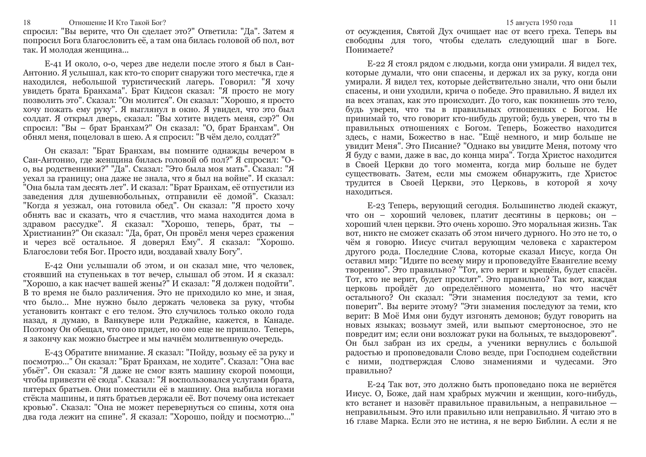спросил: "Вы верите, что Он сделает это?" Ответила: "Да". Затем я попросил Бога благословить её, а там она билась головой об пол, вот так. И молодая женщина...

Е-41 И около, о-о, через две недели после этого я был в Сан-Антонио. Я услышал, как кто-то спорит снаружи того местечка, где я находился, небольшой туристический лагерь. Говорил: "Я хочу увидеть брата Бранхама". Брат Кидсон сказал: "Я просто не могу позволить это". Сказал: "Он молится". Он сказал: "Хорошо, я просто хочу пожать ему руку". Я выглянул в окно. Я увидел, что это был солдат. Я открыл дверь, сказал: "Вы хотите видеть меня, сэр?" Он спросил: "Вы - брат Бранхам?" Он сказал: "О, брат Бранхам". Он обнял меня, поцеловал в шею. А я спросил: "В чём дело, солдат?"

Он сказал: "Брат Бранхам, вы помните однажды вечером в Сан-Антонио, где женщина билась головой об пол?" Я спросил: "Оо, вы родственники?" "Да". Сказал: "Это была моя мать". Сказал: "Я уехал за границу; она даже не знала, что я был на войне". И сказал: "Она была там десять лет". И сказал: "Брат Бранхам, её отпустили из заведения для душевнобольных, отправили её домой". Сказал: "Когда я уезжал, она готовила обед". Он сказал: "Я просто хочу обнять вас и сказать, что я счастлив, что мама находится дома в здравом рассудке". Я сказал: "Хорошо, теперь, брат, ты -Христианин?" Он сказал: "Да, брат, Он провёл меня через сражения и через всё остальное. Я доверял Ему". Я сказал: "Хорошо. Благослови тебя Бог. Просто иди, воздавай хвалу Богу".

Е-42 Они услышали об этом, и он сказал мне, что человек, стоявший на ступеньках в тот вечер, слышал об этом. И я сказал: "Хорошо, а как насчет вашей жены?" И сказал: "Я должен подойти". В то время не было различения. Это не приходило ко мне, и зная, что было... Мне нужно было держать человека за руку, чтобы установить контакт с его телом. Это случилось только около года назад, я думаю, в Ванкувере или Реджайне, кажется, в Канаде. Поэтому Он обещал, что оно придет, но оно еще не пришло. Теперь, я закончу как можно быстрее и мы начнём молитвенную очередь.

Е-43 Обратите внимание. Я сказал: "Пойду, возьму её за руку и посмотрю..." Он сказал: "Брат Бранхам, не ходите". Сказал: "Она вас убьёт". Он сказал: "Я даже не смог взять машину скорой помощи, чтобы привезти её сюда". Сказал: "Я воспользовался услугами брата, пятерых братьев. Они поместили её в машину. Она выбила ногами стёкла машины, и пять братьев держали её. Вот почему она истекает кровью". Сказал: "Она не может перевернуться со спины, хотя она два года лежит на спине". Я сказал: "Хорошо, пойду и посмотрю..."

15 августа 1950 года

Е-22 Я стоял рядом с людьми, когда они умирали. Я видел тех, которые думали, что они спасены, и держал их за руку, когда они умирали. Я видел тех, которые действительно знали, что они были спасены, и они уходили, крича о победе. Это правильно. Я видел их на всех этапах, как это происходит. До того, как покинешь это тело, будь уверен, что ты в правильных отношениях с Богом. Не принимай то, что говорит кто-нибудь другой; будь уверен, что ты в правильных отношениях с Богом. Теперь, Божество находится здесь, с нами, Божество в нас. "Ещё немного, и мир больше не увидит Меня". Это Писание? "Однако вы увидите Меня, потому что Я буду с вами, даже в вас, до конца мира". Тогда Христос находится в Своей Церкви до того момента, когда мир больше не будет существовать. Затем, если мы сможем обнаружить, где Христос трудится в Своей Церкви, это Церковь, в которой я хочу находиться.

Е-23 Теперь, верующий сегодня. Большинство людей скажут, что он - хороший человек, платит десятины в церковь; он хороший член церкви. Это очень хорошо. Это моральная жизнь. Так вот, никто не сможет сказать об этом ничего дурного. Но это не то, о чём я говорю. Иисус считал верующим человека с характером другого рода. Последние Слова, которые сказал Иисус, когда Он оставил мир: "Идите по всему миру и проповедуйте Евангелие всему творению". Это правильно? "Тот, кто верит и крещён, будет спасён. Тот, кто не верит, будет проклят". Это правильно? Так вот, каждая церковь пройдёт до определённого момента, но что насчёт остального? Он сказал: "Эти знамения последуют за теми, кто поверит". Вы верите этому? "Эти знамения последуют за теми, кто верит: В Моё Имя они будут изгонять демонов; будут говорить на новых языках; возьмут змей, или выпьют смертоносное, это не повредит им; если они возложат руки на больных, те выздоровеют". Он был забран из их среды, а ученики вернулись с большой радостью и проповедовали Слово везде, при Господнем содействии с ними, подтверждая Слово знамениями и чудесами. Это правильно?

Е-24 Так вот, это должно быть проповедано пока не вернётся Иисус. О, Боже, дай нам храбрых мужчин и женщин, кого-нибудь, кто встанет и назовёт правильное правильным, а неправильное неправильным. Это или правильно или неправильно. Я читаю это в 16 главе Марка. Если это не истина, я не верю Библии. А если я не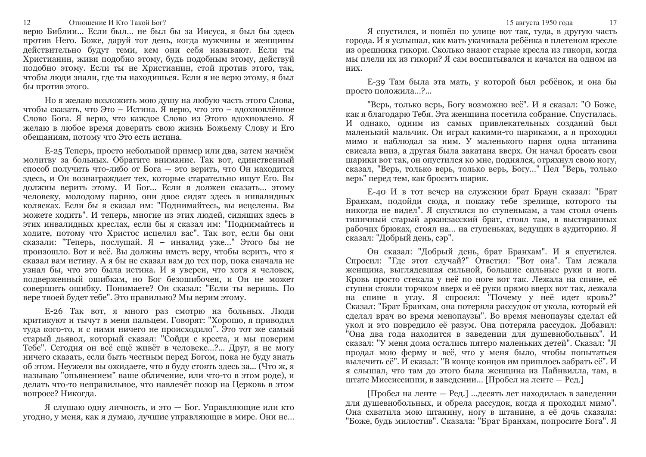## $12<sup>°</sup>$ Отношение И Кто Такой Бог?

верю Библии... Если был... не был бы за Иисуса, я был бы здесь против Него. Боже, даруй тот день, когда мужчины и женщины действительно будут теми, кем они себя называют. Если ты Христианин, живи подобно этому, будь подобным этому, действуй подобно этому. Если ты не Христианин, стой против этого, так, чтобы люди знали, где ты находишься. Если я не верю этому, я был бы против этого.

Но я желаю возложить мою душу на любую часть этого Слова, чтобы сказать, что Это - Истина. Я верю, что это - вдохновлённое Слово Бога. Я верю, что каждое Слово из Этого вдохновлено. Я желаю в любое время доверить свою жизнь Божьему Слову и Его обещаниям, потому что Это есть истина.

Е-25 Теперь, просто небольшой пример или два, затем начнём молитву за больных. Обратите внимание. Так вот, единственный способ получить что-либо от Бога - это верить, что Он находится здесь, и Он вознаграждает тех, которые старательно ищут Его. Вы должны верить этому. И Бог... Если я должен сказать... этому человеку, молодому парню, они двое сидят здесь в инвалидных колясках. Если бы я сказал им: "Поднимайтесь, вы исцелены. Вы можете ходить". И теперь, многие из этих людей, сидящих здесь в этих инвалидных креслах, если бы я сказал им: "Поднимайтесь и ходите, потому что Христос исцелил вас". Так вот, если бы они сказали: "Теперь, послушай. Я - инвалид уже..." Этого бы не произошло. Вот и всё. Вы должны иметь веру, чтобы верить, что я сказал вам истину. А я бы не сказал вам до тех пор, пока сначала не vзнал бы, что это была истина. И я уверен, что хотя я человек, подверженный ошибкам, но Бог безошибочен, и Он не может совершить ошибку. Понимаете? Он сказал: "Если ты веришь. По вере твоей будет тебе". Это правильно? Мы верим этому.

Е-26 Так вот, я много раз смотрю на больных. Люди критикуют и тычут в меня пальцем. Говорят: "Хорошо, я приводил туда кого-то, и с ними ничего не происходило". Это тот же самый старый дьявол, который сказал: "Сойди с креста, и мы поверим Тебе". Сегодня он всё ещё живёт в человеке...?... Друг, я не могу ничего сказать, если быть честным перед Богом, пока не буду знать об этом. Неужели вы ожидаете, что я буду стоять здесь за... (Что ж, я называю "опьянением" ваше обличение, или что-то в этом роде), и делать что-то неправильное, что навлечёт позор на Церковь в этом вопросе? Никогда.

Я слушаю одну личность, и это - Бог. Управляющие или кто угодно, у меня, как я думаю, лучшие управляющие в мире. Они не...

Я спустился, и пошёл по улице вот так, туда, в другую часть города. И я услышал, как мать укачивала ребёнка в плетеном кресле из орешника гикори. Сколько знают старые кресла из гикори, когда мы плели их из гикори? Я сам воспитывался и качался на одном из них.

Е-39 Там была эта мать, у которой был ребёнок, и она бы просто положила...?...

"Верь, только верь, Богу возможно всё". И я сказал: "О Боже. как я благодарю Тебя. Эта женщина посетила собрание. Спустилась. И однако, одним из самых привлекательных созданий был маленький мальчик. Он играл какими-то шариками, а я проходил мимо и наблюдал за ним. У маленького парня одна штанина свисала вниз, а другая была закатана вверх. Он начал бросать свои шарики вот так, он опустился ко мне, поднялся, отряхнул свою ногу, сказал, "Верь, только верь, только верь, Богу..." Пел "Верь, только верь" перед тем, как бросить шарик.

Е-40 И в тот вечер на служении брат Браун сказал: "Брат Бранхам, подойди сюда, я покажу тебе зрелище, которого ты никогда не видел". Я спустился по ступенькам, а там стоял очень типичный старый арканзасский брат, стоял там, в выстиранных рабочих брюках, стоял на... на ступеньках, ведущих в аудиторию. Я сказал: "Добрый день, сэр".

Он сказал: "Добрый день, брат Бранхам". И я спустился. Спросил: "Где этот случай?" Ответил: "Вот она". Там лежала женщина, выглядевшая сильной, большие сильные руки и ноги. Кровь просто стекала у неё по ноге вот так. Лежала на спине, её ступни стояли торчком вверх и её руки прямо вверх вот так, лежала на спине в углу. Я спросил: "Почему у неё идет кровь?" Сказал: "Брат Бранхам, она потеряла рассудок от укола, который ей сделал врач во время менопаузы". Во время менопаузы сделал ей укол и это повредило её разум. Она потеряла рассудок. Добавил: "Она два года находится в заведении для душевнобольных". И сказал: "У меня дома остались пятеро маленьких детей". Сказал: "Я продал мою ферму и всё, что у меня было, чтобы попытаться вылечить её". И сказал: "В конце концов им пришлось забрать её". И я слышал, что там до этого была женщина из Пайнвилла, там, в штате Миссиссиппи, в заведении... [Пробел на ленте – Ред.]

Пробел на ленте - Ред.] ... десять лет находилась в заведении для душевнобольных, и обрела рассудок, когда я проходил мимо". Она схватила мою штанину, ногу в штанине, а её дочь сказала: "Боже, будь милостив". Сказала: "Брат Бранхам, попросите Бога". Я

17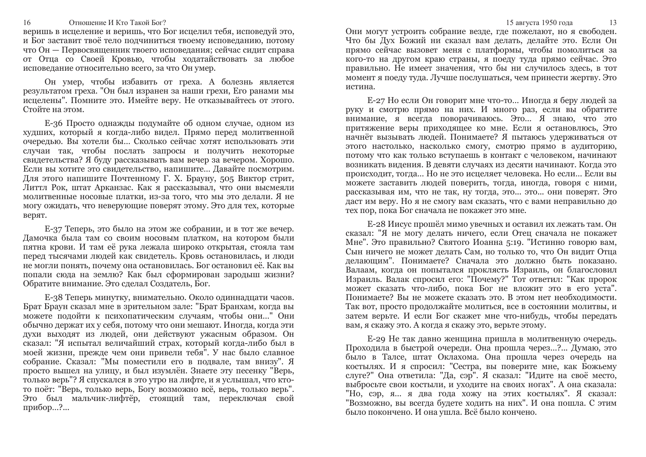веришь в исцеление и веришь, что Бог исцелил тебя, исповедуй это, и Бог заставит твоё тело подчиниться твоему исповеданию, потому что Он - Первосвященник твоего исповедания; сейчас сидит справа от Отца со Своей Кровью, чтобы ходатайствовать за любое исповедание относительно всего, за что Он умер.

Он умер, чтобы избавить от греха. А болезнь является результатом греха. "Он был изранен за наши грехи, Его ранами мы исцелены". Помните это. Имейте веру. Не отказывайтесь от этого. Стойте на этом.

Е-36 Просто однажды подумайте об одном случае, одном из худших, который я когда-либо видел. Прямо перед молитвенной очередью. Вы хотели бы... Сколько сейчас хотят использовать эти случаи так, чтобы послать запросы и получить некоторые свидетельства? Я буду рассказывать вам вечер за вечером. Хорошо. Если вы хотите это свидетельство, напишите... Давайте посмотрим. Для этого напишите Почтенному Г. Х. Брауну, 505 Виктор стрит, Литтл Рок, штат Арканзас. Как я рассказывал, что они высмеяли молитвенные носовые платки, из-за того, что мы это делали. Я не могу ожидать, что неверующие поверят этому. Это для тех, которые верят.

Е-37 Теперь, это было на этом же собрании, и в тот же вечер. Дамочка была там со своим носовым платком, на котором были пятна крови. И там её рука лежала широко открытая, стояла там перед тысячами людей как свидетель. Кровь остановилась, и люди не могли понять, почему она остановилась. Бог остановил её. Как вы попали сюда на землю? Как был сформирован зародыш жизни? Обратите внимание. Это сделал Создатель, Бог.

Е-38 Теперь минутку, внимательно. Около одиннадцати часов. Брат Браун сказал мне в зрительном зале: "Брат Бранхам, когда вы можете подойти к психопатическим случаям, чтобы они..." Они обычно держат их у себя, потому что они мешают. Иногда, когда эти духи выходят из людей, они действуют ужасным образом. Он сказал: "Я испытал величайший страх, который когда-либо был в моей жизни, прежде чем они привели тебя". У нас было славное собрание. Сказал: "Мы поместили его в подвале, там внизу". Я просто вышел на улицу, и был изумлён. Знаете эту песенку "Верь, только верь"? Я спускался в это утро на лифте, и я услышал, что ктото поёт: "Верь, только верь, Богу возможно всё, верь, только верь". Это был мальчик-лифтёр, стоящий там, переключая свой прибор...?...

Они могут устроить собрание везде, где пожелают, но я свободен. Что бы Дух Божий ни сказал вам делать, делайте это. Если Он прямо сейчас вызовет меня с платформы, чтобы помолиться за кого-то на другом краю страны, я поеду туда прямо сейчас. Это правильно. Не имеет значения, что бы ни случилось здесь, в тот момент я поелу тула. Лучше послушаться, чем принести жертву. Это истина.

Е-27 Но если Он говорит мне что-то... Иногда я беру людей за руку и смотрю прямо на них. И много раз, если вы обратите внимание, я всегда поворачиваюсь. Это... Я знаю, что это притяжение веры приходящее ко мне. Если я остановлюсь, Это начнёт вызывать людей. Понимаете? Я пытаюсь удерживаться от этого настолько, насколько смогу, смотрю прямо в аудиторию, потому что как только вступаешь в контакт с человеком, начинают возникать видения. В девяти случаях из десяти начинают. Когда это происходит, тогда... Но не это исцеляет человека. Но если... Если вы можете заставить людей поверить, тогда, иногда, говоря с ними, рассказывая им, что не так, ну тогда, это... это... они поверят. Это даст им веру. Но я не смогу вам сказать, что с вами неправильно до тех пор, пока Бог сначала не покажет это мне.

Е-28 Иисус прошёл мимо увечных и оставил их лежать там. Он сказал: "Я не могу делать ничего, если Отец сначала не покажет Мне". Это правильно? Святого Иоанна 5:19. "Истинно говорю вам, Сын ничего не может делать Сам, но только то, что Он видит Отца делающим". Понимаете? Сначала это должно быть показано. Валаам, когда он попытался проклясть Израиль, он благословил Израиль. Валак спросил его: "Почему?" Тот ответил: "Как пророк может сказать что-либо, пока Бог не вложит это в его уста". Понимаете? Вы не можете сказать это. В этом нет необходимости. Так вот, просто продолжайте молиться, все в состоянии молитвы, и затем верьте. И если Бог скажет мне что-нибудь, чтобы передать вам, я скажу это. А когда я скажу это, верьте этому.

Е-29 Не так давно женщина пришла в молитвенную очередь. Проходила в быстрой очереди. Она прошла через...?... Думаю, это было в Талсе, штат Оклахома. Она прошла через очередь на костылях. И я спросил: "Сестра, вы поверите мне, как Божьему слуге?" Она ответила: "Да, сэр". Я сказал: "Идите на своё место, выбросьте свои костыли, и уходите на своих ногах". А она сказала: "Но, сэр, я... я два года хожу на этих костылях". Я сказал: "Возможно, вы всегда будете ходить на них". И она пошла. С этим было покончено. И она ушла. Всё было кончено.

 $13$